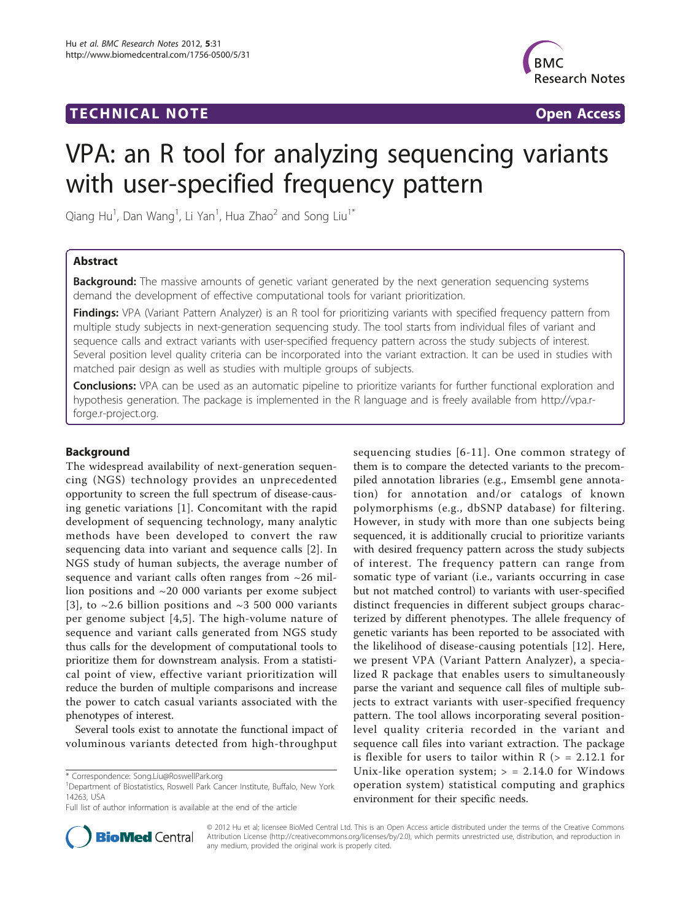# TECHNICAL NOTE And the open Access of the open Access of the open Access of the open Access of the open Access



# VPA: an R tool for analyzing sequencing variants with user-specified frequency pattern

Qiang Hu<sup>1</sup>, Dan Wang<sup>1</sup>, Li Yan<sup>1</sup>, Hua Zhao<sup>2</sup> and Song Liu<sup>1\*</sup>

# Abstract

**Background:** The massive amounts of genetic variant generated by the next generation sequencing systems demand the development of effective computational tools for variant prioritization.

Findings: VPA (Variant Pattern Analyzer) is an R tool for prioritizing variants with specified frequency pattern from multiple study subjects in next-generation sequencing study. The tool starts from individual files of variant and sequence calls and extract variants with user-specified frequency pattern across the study subjects of interest. Several position level quality criteria can be incorporated into the variant extraction. It can be used in studies with matched pair design as well as studies with multiple groups of subjects.

**Conclusions:** VPA can be used as an automatic pipeline to prioritize variants for further functional exploration and hypothesis generation. The package is implemented in the R language and is freely available from [http://vpa.r](http://vpa.r-forge.r-project.org)[forge.r-project.org.](http://vpa.r-forge.r-project.org)

# Background

The widespread availability of next-generation sequencing (NGS) technology provides an unprecedented opportunity to screen the full spectrum of disease-causing genetic variations [[1](#page-2-0)]. Concomitant with the rapid development of sequencing technology, many analytic methods have been developed to convert the raw sequencing data into variant and sequence calls [[2\]](#page-3-0). In NGS study of human subjects, the average number of sequence and variant calls often ranges from  $\sim$ 26 million positions and ~20 000 variants per exome subject [[3](#page-3-0)], to  $\sim$  2.6 billion positions and  $\sim$  3 500 000 variants per genome subject [\[4,5](#page-3-0)]. The high-volume nature of sequence and variant calls generated from NGS study thus calls for the development of computational tools to prioritize them for downstream analysis. From a statistical point of view, effective variant prioritization will reduce the burden of multiple comparisons and increase the power to catch casual variants associated with the phenotypes of interest.

Several tools exist to annotate the functional impact of voluminous variants detected from high-throughput

Full list of author information is available at the end of the article





© 2012 Hu et al; licensee BioMed Central Ltd. This is an Open Access article distributed under the terms of the Creative Commons Attribution License [\(http://creativecommons.org/licenses/by/2.0](http://creativecommons.org/licenses/by/2.0)), which permits unrestricted use, distribution, and reproduction in any medium, provided the original work is properly cited.

<sup>\*</sup> Correspondence: [Song.Liu@RoswellPark.org](mailto:Song.Liu@RoswellPark.org)

<sup>&</sup>lt;sup>1</sup>Department of Biostatistics, Roswell Park Cancer Institute, Buffalo, New York 14263, USA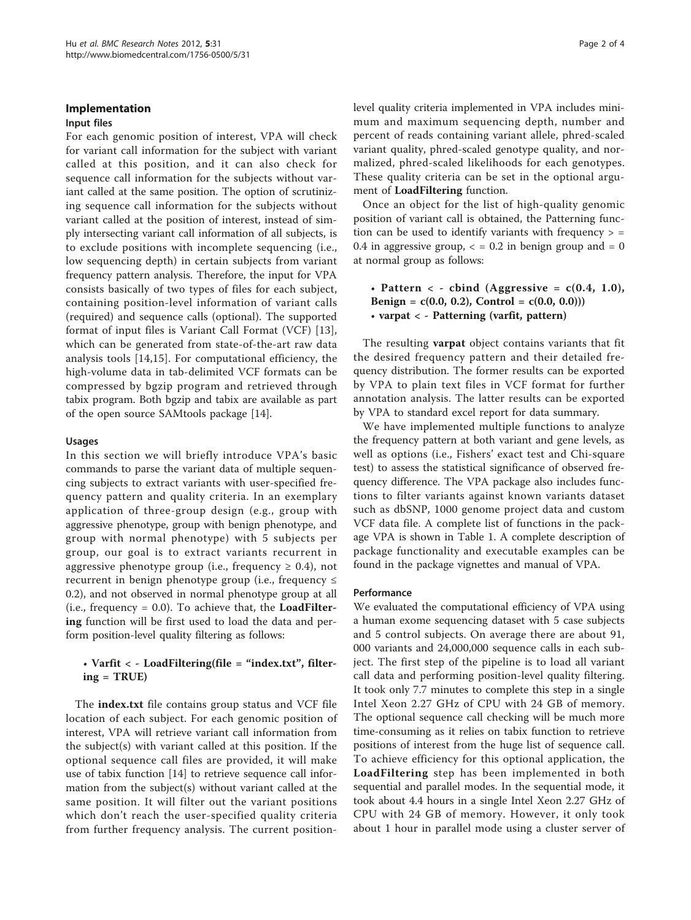# Implementation

#### Input files

For each genomic position of interest, VPA will check for variant call information for the subject with variant called at this position, and it can also check for sequence call information for the subjects without variant called at the same position. The option of scrutinizing sequence call information for the subjects without variant called at the position of interest, instead of simply intersecting variant call information of all subjects, is to exclude positions with incomplete sequencing (i.e., low sequencing depth) in certain subjects from variant frequency pattern analysis. Therefore, the input for VPA consists basically of two types of files for each subject, containing position-level information of variant calls (required) and sequence calls (optional). The supported format of input files is Variant Call Format (VCF) [\[13](#page-3-0)], which can be generated from state-of-the-art raw data analysis tools [\[14](#page-3-0),[15\]](#page-3-0). For computational efficiency, the high-volume data in tab-delimited VCF formats can be compressed by bgzip program and retrieved through tabix program. Both bgzip and tabix are available as part of the open source SAMtools package [[14](#page-3-0)].

# Usages

In this section we will briefly introduce VPA's basic commands to parse the variant data of multiple sequencing subjects to extract variants with user-specified frequency pattern and quality criteria. In an exemplary application of three-group design (e.g., group with aggressive phenotype, group with benign phenotype, and group with normal phenotype) with 5 subjects per group, our goal is to extract variants recurrent in aggressive phenotype group (i.e., frequency  $\geq 0.4$ ), not recurrent in benign phenotype group (i.e., frequency ≤ 0.2), and not observed in normal phenotype group at all (i.e., frequency  $= 0.0$ ). To achieve that, the **LoadFilter**ing function will be first used to load the data and perform position-level quality filtering as follows:

# • Varfit < - LoadFiltering(file = "index.txt", filtering = TRUE)

The index.txt file contains group status and VCF file location of each subject. For each genomic position of interest, VPA will retrieve variant call information from the subject(s) with variant called at this position. If the optional sequence call files are provided, it will make use of tabix function [\[14](#page-3-0)] to retrieve sequence call information from the subject(s) without variant called at the same position. It will filter out the variant positions which don't reach the user-specified quality criteria from further frequency analysis. The current positionlevel quality criteria implemented in VPA includes minimum and maximum sequencing depth, number and percent of reads containing variant allele, phred-scaled variant quality, phred-scaled genotype quality, and normalized, phred-scaled likelihoods for each genotypes. These quality criteria can be set in the optional argument of LoadFiltering function.

Once an object for the list of high-quality genomic position of variant call is obtained, the Patterning function can be used to identify variants with frequency  $>$  = 0.4 in aggressive group,  $\langle$  = 0.2 in benign group and = 0 at normal group as follows:

# • Pattern  $\langle$  - cbind (Aggressive = c(0.4, 1.0), Benign =  $c(0.0, 0.2)$ , Control =  $c(0.0, 0.0)$ ) • varpat < - Patterning (varfit, pattern)

The resulting varpat object contains variants that fit the desired frequency pattern and their detailed frequency distribution. The former results can be exported by VPA to plain text files in VCF format for further annotation analysis. The latter results can be exported by VPA to standard excel report for data summary.

We have implemented multiple functions to analyze the frequency pattern at both variant and gene levels, as well as options (i.e., Fishers' exact test and Chi-square test) to assess the statistical significance of observed frequency difference. The VPA package also includes functions to filter variants against known variants dataset such as dbSNP, 1000 genome project data and custom VCF data file. A complete list of functions in the package VPA is shown in Table [1.](#page-2-0) A complete description of package functionality and executable examples can be found in the package vignettes and manual of VPA.

#### Performance

We evaluated the computational efficiency of VPA using a human exome sequencing dataset with 5 case subjects and 5 control subjects. On average there are about 91, 000 variants and 24,000,000 sequence calls in each subject. The first step of the pipeline is to load all variant call data and performing position-level quality filtering. It took only 7.7 minutes to complete this step in a single Intel Xeon 2.27 GHz of CPU with 24 GB of memory. The optional sequence call checking will be much more time-consuming as it relies on tabix function to retrieve positions of interest from the huge list of sequence call. To achieve efficiency for this optional application, the LoadFiltering step has been implemented in both sequential and parallel modes. In the sequential mode, it took about 4.4 hours in a single Intel Xeon 2.27 GHz of CPU with 24 GB of memory. However, it only took about 1 hour in parallel mode using a cluster server of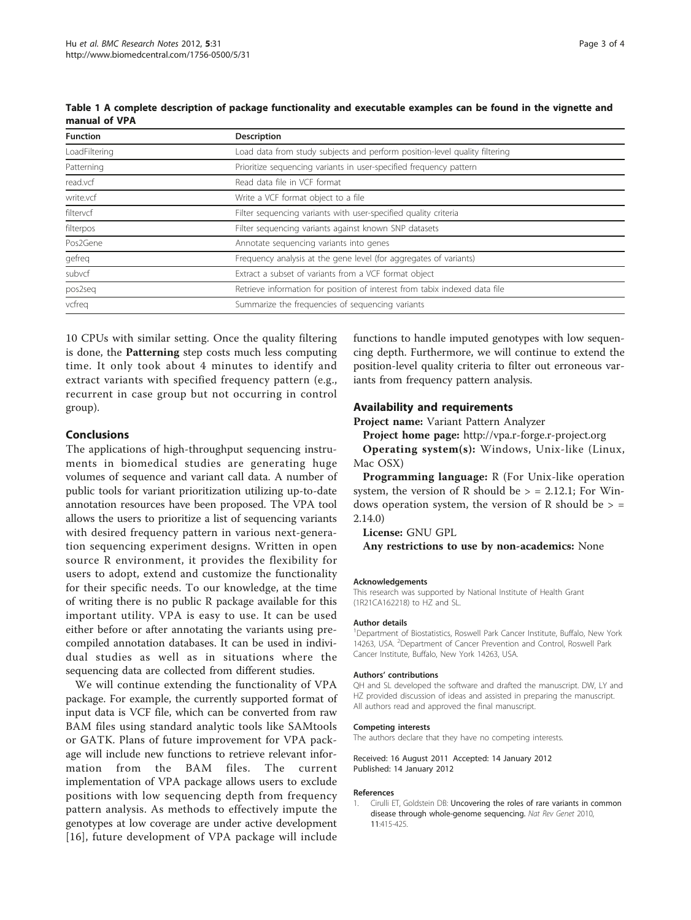<span id="page-2-0"></span>Table 1 A complete description of package functionality and executable examples can be found in the vignette and manual of VPA

| <b>Function</b> | <b>Description</b>                                                         |
|-----------------|----------------------------------------------------------------------------|
| LoadFiltering   | Load data from study subjects and perform position-level quality filtering |
| Patterning      | Prioritize sequencing variants in user-specified frequency pattern         |
| read.vcf        | Read data file in VCF format                                               |
| write.vcf       | Write a VCF format object to a file                                        |
| filtervcf       | Filter sequencing variants with user-specified quality criteria            |
| filterpos       | Filter sequencing variants against known SNP datasets                      |
| Pos2Gene        | Annotate sequencing variants into genes                                    |
| gefreq          | Frequency analysis at the gene level (for aggregates of variants)          |
| subvcf          | Extract a subset of variants from a VCF format object                      |
| pos2seq         | Retrieve information for position of interest from tabix indexed data file |
| vcfreq          | Summarize the frequencies of sequencing variants                           |

10 CPUs with similar setting. Once the quality filtering is done, the Patterning step costs much less computing time. It only took about 4 minutes to identify and extract variants with specified frequency pattern (e.g., recurrent in case group but not occurring in control group).

# Conclusions

The applications of high-throughput sequencing instruments in biomedical studies are generating huge volumes of sequence and variant call data. A number of public tools for variant prioritization utilizing up-to-date annotation resources have been proposed. The VPA tool allows the users to prioritize a list of sequencing variants with desired frequency pattern in various next-generation sequencing experiment designs. Written in open source R environment, it provides the flexibility for users to adopt, extend and customize the functionality for their specific needs. To our knowledge, at the time of writing there is no public R package available for this important utility. VPA is easy to use. It can be used either before or after annotating the variants using precompiled annotation databases. It can be used in individual studies as well as in situations where the sequencing data are collected from different studies.

We will continue extending the functionality of VPA package. For example, the currently supported format of input data is VCF file, which can be converted from raw BAM files using standard analytic tools like SAMtools or GATK. Plans of future improvement for VPA package will include new functions to retrieve relevant information from the BAM files. The current implementation of VPA package allows users to exclude positions with low sequencing depth from frequency pattern analysis. As methods to effectively impute the genotypes at low coverage are under active development [[16](#page-3-0)], future development of VPA package will include

functions to handle imputed genotypes with low sequencing depth. Furthermore, we will continue to extend the position-level quality criteria to filter out erroneous variants from frequency pattern analysis.

# Availability and requirements

Project name: Variant Pattern Analyzer

Project home page: <http://vpa.r-forge.r-project.org> Operating system(s): Windows, Unix-like (Linux, Mac OSX)

Programming language: R (For Unix-like operation system, the version of R should be  $>$  = 2.12.1; For Windows operation system, the version of R should be  $>$  = 2.14.0)

License: GNU GPL

Any restrictions to use by non-academics: None

#### Acknowledgements

This research was supported by National Institute of Health Grant (1R21CA162218) to HZ and SL.

#### Author details

<sup>1</sup>Department of Biostatistics, Roswell Park Cancer Institute, Buffalo, New York 14263, USA. <sup>2</sup> Department of Cancer Prevention and Control, Roswell Park Cancer Institute, Buffalo, New York 14263, USA.

#### Authors' contributions

QH and SL developed the software and drafted the manuscript. DW, LY and HZ provided discussion of ideas and assisted in preparing the manuscript. All authors read and approved the final manuscript.

#### Competing interests

The authors declare that they have no competing interests.

Received: 16 August 2011 Accepted: 14 January 2012 Published: 14 January 2012

#### References

1. Cirulli ET, Goldstein DB: [Uncovering the roles of rare variants in common](http://www.ncbi.nlm.nih.gov/pubmed/20479773?dopt=Abstract) [disease through whole-genome sequencing.](http://www.ncbi.nlm.nih.gov/pubmed/20479773?dopt=Abstract) Nat Rev Genet 2010, 11:415-425.